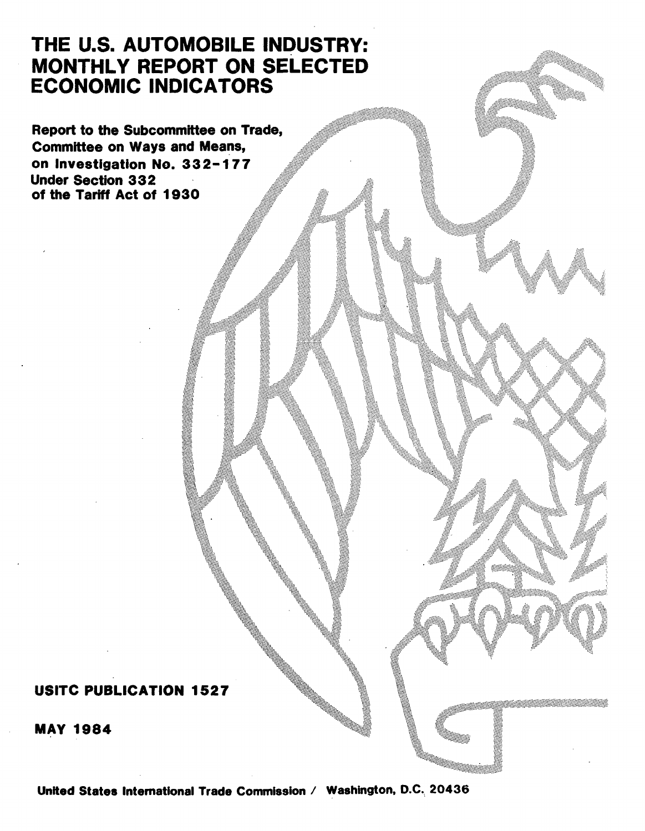# THE U.S. AUTOMOBILE INDUSTRY: MONTHLY REPORT ON SELECTED ECONOMIC INDICATORS

Report to the Subcommittee on Trade, Committee on Ways and Means, on Investigation No. 332-177 Under Section 3 3 2 of the Tariff Act of 1930

# USITC PUBLICATION 1527

MAY 1984

United States International Trade Commission / Washington, D.C. 20436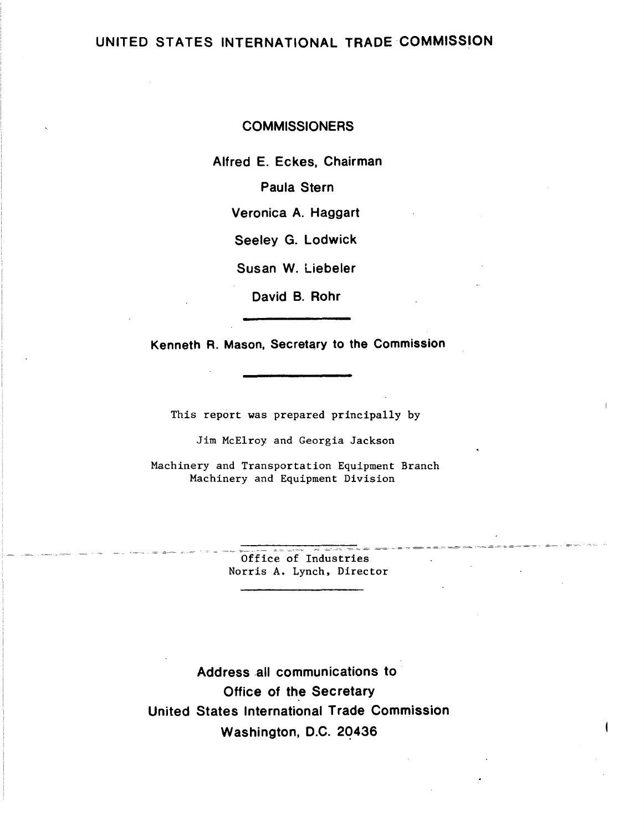## UNITED STATES INTERNATIONAL TRADE COMMISSlON

### **COMMISSIONERS**

Alfred E. Eckes, Chairman

Paula Stern

Veronica A. Haggart

Seeley G. Lodwick

Susan W. Liebeler

David B. Rohr

Kenneth R. Mason, Secretary to the Commission

This report was prepared principally by

Jim McElroy and Georgia Jackson

Machinery and Transportation Equipment Branch Machinery and Equipment Division

> -= -~ .=. =- ..=...-o---= *=-=* ~ -=~ -- =- <sup>=</sup>=-=- ~-= = = = =---=--" --=-=o= =-=- --=--..=.-~ =- =--=-=-= Office of Industries Norris A. Lynch, Director

Address .all communications to Office of the Secretary United States International Trade Commission Washington, D.C. 20436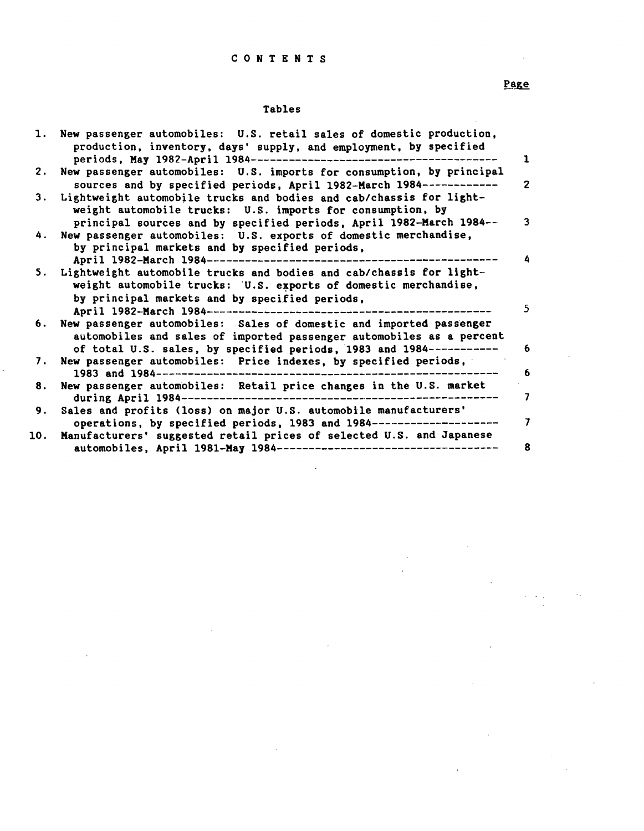#### Tables

| 1.  | New passenger automobiles: U.S. retail sales of domestic production,<br>production, inventory, days' supply, and employment, by specified         |  |
|-----|---------------------------------------------------------------------------------------------------------------------------------------------------|--|
|     | periods, May 1982-April 1984----<br>$\mathbf{1}$                                                                                                  |  |
| 2.  | New passenger automobiles: U.S. imports for consumption, by principal<br>sources and by specified periods, April 1982-March 1984------------<br>2 |  |
| 3.  | Lightweight automobile trucks and bodies and cab/chassis for light-<br>weight automobile trucks: U.S. imports for consumption, by                 |  |
|     | principal sources and by specified periods, April 1982-March 1984--<br>3                                                                          |  |
| 4.  | New passenger automobiles: U.S. exports of domestic merchandise,                                                                                  |  |
|     | by principal markets and by specified periods,                                                                                                    |  |
|     |                                                                                                                                                   |  |
| 5.  | Lightweight automobile trucks and bodies and cab/chassis for light-                                                                               |  |
|     | weight automobile trucks: U.S. exports of domestic merchandise,                                                                                   |  |
|     | by principal markets and by specified periods,                                                                                                    |  |
|     | 5.<br>April 1982-March 1984----------                                                                                                             |  |
| 6.  | New passenger automobiles: Sales of domestic and imported passenger                                                                               |  |
|     | automobiles and sales of imported passenger automobiles as a percent                                                                              |  |
|     | of total U.S. sales, by specified periods, 1983 and 1984-----------<br>6                                                                          |  |
| 7.  | New passenger automobiles: Price indexes, by specified periods,                                                                                   |  |
|     | 6<br>1983 and 1984-----------------                                                                                                               |  |
| 8.  | New passenger automobiles: Retail price changes in the U.S. market                                                                                |  |
|     | $\overline{ }$<br>during April 1984----------------                                                                                               |  |
| 9.  | Sales and profits (loss) on major U.S. automobile manufacturers'                                                                                  |  |
|     | operations, by specified periods, 1983 and 1984---------------------<br>7                                                                         |  |
| 10. | Manufacturers' suggested retail prices of selected U.S. and Japanese<br>8                                                                         |  |

 $\overline{a}$ 

 $\overline{\phantom{a}}$ 

Page

 $\lambda$ 

 $\sim$   $\sim$ 

J.

l,

 $\ddot{\phantom{0}}$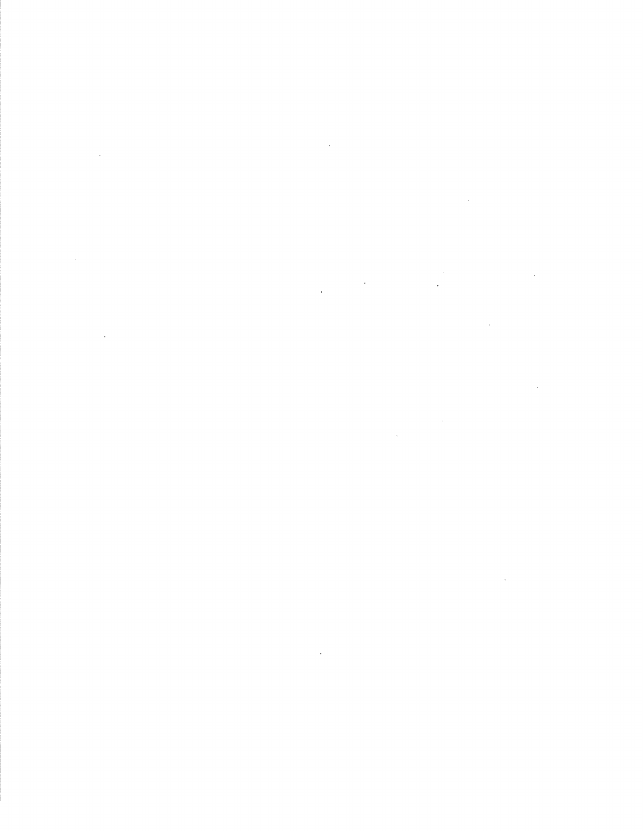$\label{eq:2.1} \frac{1}{\sqrt{2}}\int_{\mathbb{R}^3}\frac{1}{\sqrt{2}}\left(\frac{1}{\sqrt{2}}\int_{\mathbb{R}^3}\frac{1}{\sqrt{2}}\left(\frac{1}{\sqrt{2}}\int_{\mathbb{R}^3}\frac{1}{\sqrt{2}}\left(\frac{1}{\sqrt{2}}\int_{\mathbb{R}^3}\frac{1}{\sqrt{2}}\right)\frac{1}{\sqrt{2}}\right)\frac{1}{\sqrt{2}}\right)=\frac{1}{2}\int_{\mathbb{R}^3}\frac{1}{\sqrt{2}}\int_{\mathbb{R}^3}\frac{1}{\sqrt{2}}\int_{\mathbb$  $\label{eq:2.1} \frac{1}{\sqrt{2}}\left(\frac{1}{\sqrt{2}}\right)^{2} \left(\frac{1}{\sqrt{2}}\right)^{2} \left(\frac{1}{\sqrt{2}}\right)^{2} \left(\frac{1}{\sqrt{2}}\right)^{2} \left(\frac{1}{\sqrt{2}}\right)^{2} \left(\frac{1}{\sqrt{2}}\right)^{2} \left(\frac{1}{\sqrt{2}}\right)^{2} \left(\frac{1}{\sqrt{2}}\right)^{2} \left(\frac{1}{\sqrt{2}}\right)^{2} \left(\frac{1}{\sqrt{2}}\right)^{2} \left(\frac{1}{\sqrt{2}}\right)^{2} \left(\$  $\label{eq:2.1} \frac{1}{\sqrt{2}}\int_{\mathbb{R}^3}\frac{1}{\sqrt{2}}\left(\frac{1}{\sqrt{2}}\right)^2\frac{1}{\sqrt{2}}\left(\frac{1}{\sqrt{2}}\right)^2\frac{1}{\sqrt{2}}\left(\frac{1}{\sqrt{2}}\right)^2\frac{1}{\sqrt{2}}\left(\frac{1}{\sqrt{2}}\right)^2\frac{1}{\sqrt{2}}\left(\frac{1}{\sqrt{2}}\right)^2\frac{1}{\sqrt{2}}\frac{1}{\sqrt{2}}\frac{1}{\sqrt{2}}\frac{1}{\sqrt{2}}\frac{1}{\sqrt{2}}\frac{1}{\sqrt{2}}$ 

 $\label{eq:2.1} \frac{1}{2} \sum_{i=1}^n \frac{1}{2} \sum_{j=1}^n \frac{1}{2} \sum_{j=1}^n \frac{1}{2} \sum_{j=1}^n \frac{1}{2} \sum_{j=1}^n \frac{1}{2} \sum_{j=1}^n \frac{1}{2} \sum_{j=1}^n \frac{1}{2} \sum_{j=1}^n \frac{1}{2} \sum_{j=1}^n \frac{1}{2} \sum_{j=1}^n \frac{1}{2} \sum_{j=1}^n \frac{1}{2} \sum_{j=1}^n \frac{1}{2} \sum_{j=1}^n \frac{$  $\mathcal{L}_{\text{max}}$  and  $\mathcal{L}_{\text{max}}$  . The set of  $\mathcal{L}_{\text{max}}$ 

 $\label{eq:2.1} \begin{split} \mathcal{L}_{\text{max}}(\mathbf{r},\mathbf{r}) & = \mathcal{L}_{\text{max}}(\mathbf{r},\mathbf{r}) \mathcal{L}_{\text{max}}(\mathbf{r},\mathbf{r}) \\ & = \mathcal{L}_{\text{max}}(\mathbf{r},\mathbf{r}) \mathcal{L}_{\text{max}}(\mathbf{r},\mathbf{r}) \mathcal{L}_{\text{max}}(\mathbf{r},\mathbf{r}) \mathcal{L}_{\text{max}}(\mathbf{r},\mathbf{r}) \mathcal{L}_{\text{max}}(\mathbf{r},\mathbf{r}) \mathcal{L}_{\text{max}}(\mathbf{r},$ 

 $\label{eq:2.1} \mathcal{L}(\mathcal{L}^{\mathcal{L}}_{\mathcal{L}}(\mathcal{L}^{\mathcal{L}}_{\mathcal{L}})) = \mathcal{L}(\mathcal{L}^{\mathcal{L}}_{\mathcal{L}}(\mathcal{L}^{\mathcal{L}}_{\mathcal{L}})) = \mathcal{L}(\mathcal{L}^{\mathcal{L}}_{\mathcal{L}}(\mathcal{L}^{\mathcal{L}}_{\mathcal{L}}))$ 

 $\mathcal{L}(\mathcal{L})$  and  $\mathcal{L}(\mathcal{L})$  . In the  $\mathcal{L}(\mathcal{L})$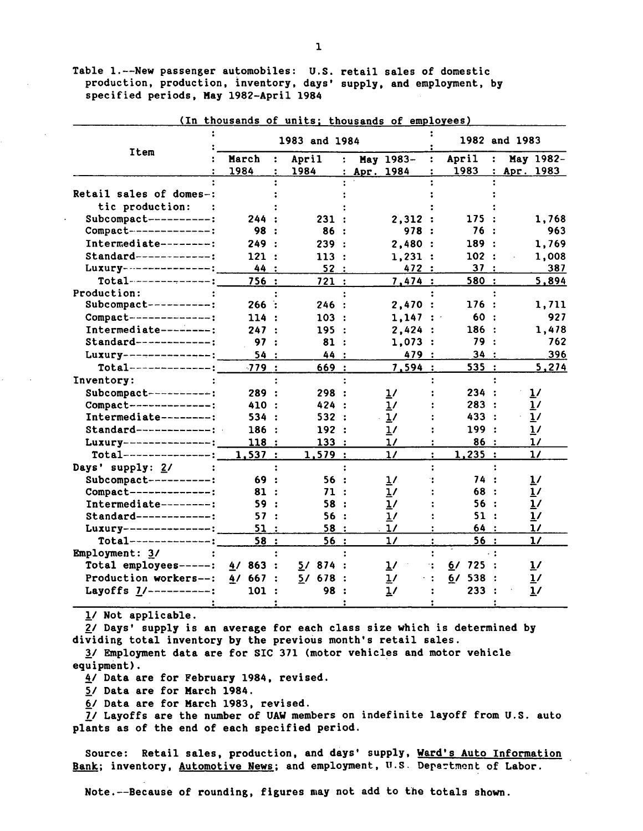Table 1.--New passenger automobiles: U.S. retail sales of domestic production, production, inventory, days' supply, and employment, by specified periods, Kay 1982-April 1984

|                             |                         | 1983 and 1984 |                                   | 1982 and 1983           |                      |  |  |  |
|-----------------------------|-------------------------|---------------|-----------------------------------|-------------------------|----------------------|--|--|--|
| Item                        | March<br>$\ddot{\cdot}$ | April         | May 1983-<br>÷<br>÷               | April<br>$\ddot{\cdot}$ | May 1982-            |  |  |  |
|                             | 1984                    | 1984          | Apr. 1984<br>$\ddot{\phantom{a}}$ | 1983<br>$\ddot{\cdot}$  | Apr. 1983            |  |  |  |
|                             |                         |               |                                   |                         |                      |  |  |  |
| Retail sales of domes-:     |                         |               |                                   |                         |                      |  |  |  |
| tic production:             |                         |               |                                   |                         |                      |  |  |  |
| Subcompact----------:       | 244                     | 231:          | 2,312:                            | 175 :                   | 1,768                |  |  |  |
| Compact-------------:       | 98 :                    | 86:           | 978 :                             | 76:                     | 963                  |  |  |  |
| Intermediate--------:       | 249:                    | 239:          | 2,480:                            | 189:                    | 1,769                |  |  |  |
| $Standard-----$ ----------- | 121:                    | 113:          | 1,231:                            | 102 :                   | 1,008                |  |  |  |
| Luxury---------------;      | 44 :                    | 52:           | 472 :                             | 37:                     | 387                  |  |  |  |
| $Total-----$                | 756 :                   | 721:          | 7,474:                            | 580:                    | 5,894                |  |  |  |
| Production:                 |                         |               |                                   |                         |                      |  |  |  |
| Subcompact----------:       | 266 :                   | 246 :         | 2,470:                            | 176 :                   | 1,711                |  |  |  |
| Compact-------------:       | 114 :                   | 103:          | 1.147:                            | 60 :                    | 927                  |  |  |  |
| Intermediate--------:       | 247:                    | 195:          | 2,424:                            | 186 :                   | 1,478                |  |  |  |
| $Standard----------$        | 97:                     | 81:           | 1,073:                            | 79 :                    | 762                  |  |  |  |
| $Luxury-----------------$   | 54:                     | 44 :          | 479:                              | 34:                     | 396                  |  |  |  |
| $Total-----$                | $-779:$                 | 669:          | 7,594:                            | 535:                    | 5,274                |  |  |  |
| Inventory:                  |                         |               |                                   |                         |                      |  |  |  |
| Subcompact----------:       | 289                     | 298 :         | <u>1</u> /                        | 234:                    | 1/                   |  |  |  |
| Compact--------------:      | 410:                    | 424:          | 1/                                | 283 :                   | 1/                   |  |  |  |
| Intermediate--------:       | 534:                    | 532:          | $\mathbf{1}$                      | 433:                    | 1/                   |  |  |  |
| $Standard$ ------------;    | 186 :                   | 192:          | $\mathbf{1}$                      | 199<br>$\cdot$ :        | $\frac{1}{\sqrt{2}}$ |  |  |  |
| Luxury---------------:      | 118:                    | 133:          | 1/                                | 86:                     | 1/                   |  |  |  |
| Tota1---------------:       | 1,537:                  | 1,579:        | $\frac{1}{2}$                     | 1,235:                  | 1/                   |  |  |  |
| Days' supply: 2/            |                         |               |                                   |                         |                      |  |  |  |
| Subcompact----------:       | 69.                     | 56 :          | <u>1</u> /                        | 74 :                    | <u>1</u> /           |  |  |  |
| $Compare t-----$            | 81 :                    | 71 :          | <u>1</u> /                        | 68 :                    | $\frac{1}{2}$        |  |  |  |
| Intermediate--------:       | 59:                     | 58:           | $\mathbf{1}$                      | 56:                     | 1/                   |  |  |  |
| $Standard-----$             | 57                      | 56:           | $\frac{1}{2}$                     | 51:                     | $\mathbf{1}$         |  |  |  |
| Luxury--------------:       | 51                      | 58:           | $\mathbf{1}$                      | 64:                     | 1/                   |  |  |  |
| $Total-----$                | 58 :                    | 56 :          | $\frac{1}{2}$<br>$\bullet$        | 56:                     | $\frac{1}{2}$        |  |  |  |
| Employment: 3/              |                         |               |                                   | $\cdot$ :               |                      |  |  |  |
| Total employees-----:       | 863:<br>4/              | 874 :<br>5/   | 1/                                | 725<br>6/<br>$\cdot$ :  | 1/                   |  |  |  |
| Production workers--:       | 4/<br>667:              | 5/678:        | $\underline{\mathbf{1}}$          | 6/<br>538               | $\mathbf{1}$         |  |  |  |
| Layoffs 7/----------:       | 101                     | 98            | 1/                                | 233                     | 1/                   |  |  |  |
|                             |                         |               |                                   |                         |                      |  |  |  |

(In thousands of units; thousands of employees)

*!I* Not applicable.

 $2/$  Days' supply is an average for each class size which is determined by dividing total inventory by the previous month's retail sales.

*11* Employment data are for SIC 371 (motor vehicles and motor vehicle equipment).

4/ Data are for February 1984, revised.

5/ Data are for March 1984.

*§.I* Data are for Karch 1983, revised.

*LI* Layoffs are the number of UAW members on indefinite layoff from U.S. auto plants as of the end of each specified period.

Source: Retail sales, production, and days' supply, Ward's Auto Information Bank; inventory, Automotive News; and employment, U.S. Department of Labor.

Note.--Because of rounding, figures may not add to the totals shown.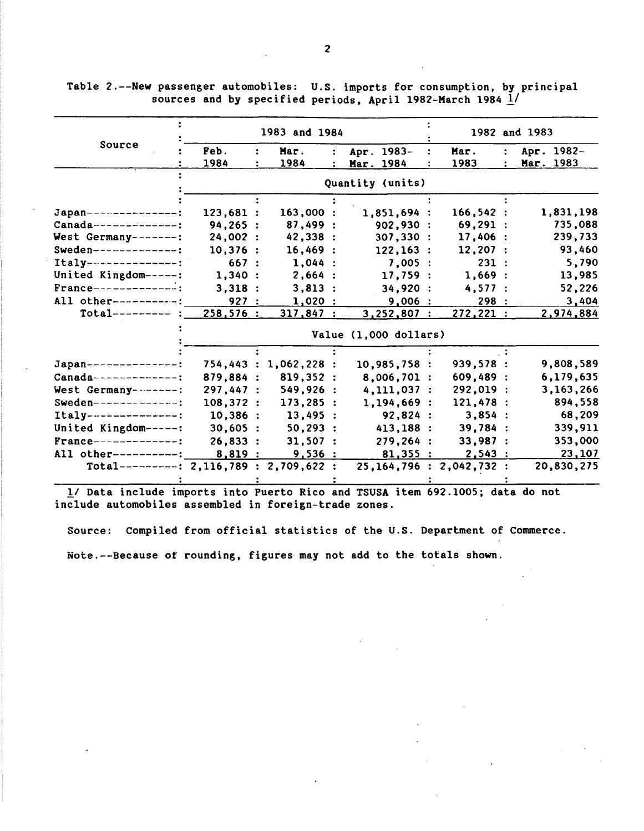Table 2.--New passenger automobiles: U.S. imports for consumption, by principal sources and by specified periods, April 1982-March 1984 *!/* 

|                                         |              | 1983 and 1984         |         |                          |              | 1982 and 1983           |
|-----------------------------------------|--------------|-----------------------|---------|--------------------------|--------------|-------------------------|
| Source                                  | Feb.<br>1984 | Mar.<br>1984          | $\cdot$ | Apr. 1983-<br>Mar. 1984  | Mar.<br>1983 | Apr. 1982-<br>Mar. 1983 |
|                                         |              |                       |         | Quantity (units)         |              |                         |
|                                         |              |                       |         |                          |              |                         |
| Japan---------------:                   | 123,681:     | 163,000:              |         | 1,851,694 :              | 166, 542:    | 1,831,198               |
| $Canada-----$                           | 94,265 :     | 87,499:               |         | 902,930 :                | 69,291:      | 735,088                 |
| West Germany-------:                    | 24,002:      | 42,338 :              |         | 307,330:                 | 17,406:      | 239,733                 |
| Sweden--------------:                   | 10,376:      | 16,469:               |         | 122, 163:                | 12,207:      | 93,460                  |
| $Itally-----$                           | 667:         | 1,044:                |         | 7,005:                   | 231:         | 5,790                   |
| United Kingdom-----:                    | 1,340:       | 2,664:                |         | 17,759:                  | 1,669:       | 13,985                  |
| $Frame---------$ :                      | 3,318:       | 3,813:                |         | 34,920:                  | 4,577 :      | 52,226                  |
| All other----------:                    | 927:         | $1,020$ :             |         | 9,006:                   | 298:         | 3,404                   |
| $Total-----$                            | 258,576:     | 317,847:              |         | 3,252,807:               | 272,221:     | 2,974,884               |
|                                         |              |                       |         | Value (1,000 dollars)    |              |                         |
|                                         |              |                       |         |                          |              |                         |
| $Japan-----$                            |              | 754,443 : 1,062,228 : |         | 10,985,758 :             | 939,578 :    | 9,808,589               |
| $Canada-----$                           | 879,884 :    | 819,352 :             |         | 8,006,701 :              | 609,489 :    | 6,179,635               |
| West Germany---------                   | 297,447:     | 549,926:              |         | 4, 111, 037:             | 292,019 :    | 3,163,266               |
| Sweden-------------:                    | 108.372:     | 173,285:              |         | 1,194,669:               | 121,478:     | 894,558                 |
| $Itally------------------:$             | 10,386:      | 13,495:               |         | 92,824:                  | 3,854:       | 68,209                  |
| United Kingdom------                    | 30,605:      | 50, 293:              |         | 413,188 :                | 39,784 :     | 339,911                 |
| $Frame---------:$                       | 26,833:      | 31,507:               |         | 279,264 :                | 33,987 :     | 353,000                 |
| All other----------:                    | 8,819:       | 9,536:                |         | 81,355:                  | 2,543:       | 23,107                  |
| Total---------: 2,116,789 : 2,709,622 : |              |                       |         | 25,164,796 : 2,042,732 : |              | 20,830,275              |

*11* Data include imports into Puerto Rico and TSUSA item 692.1005; data do not include automobiles assembled in foreign-trade zones.

Source: Compiled from official statistics of the U.S. Department of Commerce. Note.--Because of rounding, figures may not add to the totals shown.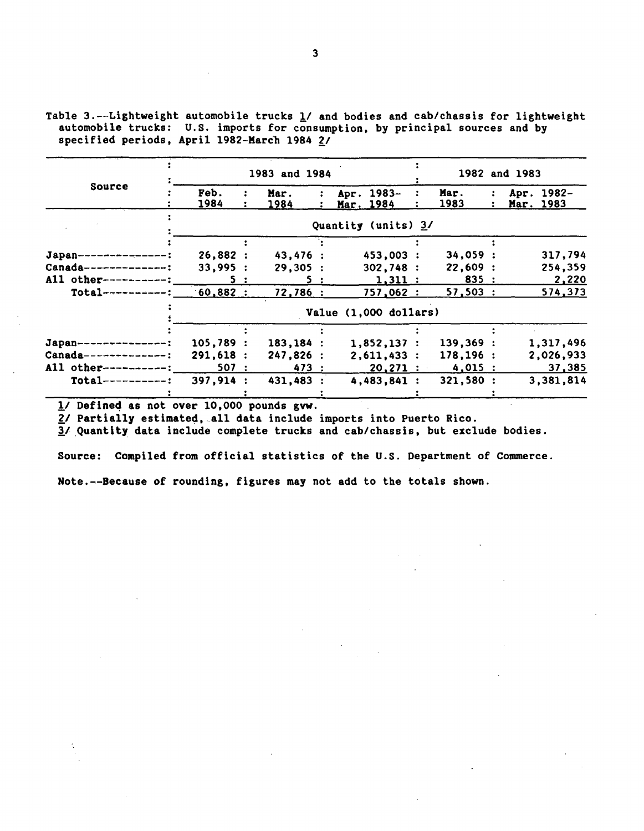Table 3.--Lightweight automobile trucks  $\frac{1}{4}$  and bodies and cab/chassis for lightweight automobile trucks: U.S. imports for consumption, by principal sources and by specified periods, April 1982-March 1984 2/

|                           |          |     | 1983 and 1984 |    |                       | 1982 and 1983 |  |  |                  |  |  |
|---------------------------|----------|-----|---------------|----|-----------------------|---------------|--|--|------------------|--|--|
| Source                    | Feb.     |     | Mar.          |    | Apr. 1983-            | Mar.          |  |  | Apr. 1982-       |  |  |
|                           | 1984     |     | 1984          |    | Mar. 1984             | 1983          |  |  | <u>Mar. 1983</u> |  |  |
|                           |          |     |               |    | Quantity (units) 3/   |               |  |  |                  |  |  |
|                           |          |     |               |    |                       |               |  |  |                  |  |  |
| Japan-<br>--------------- | 26,882:  |     | 43,476:       |    | 453,003:              | 34,059:       |  |  | 317,794          |  |  |
| $Canada-----$             | 33,995:  |     | 29,305:       |    | 302,748:              | 22,609:       |  |  | 254,359          |  |  |
| All other----------:      |          | 5 : |               | 5: | 1,311:                | 835:          |  |  | 2,220            |  |  |
| $Total-----:$             | 60,882:  |     | 72,786:       |    | 757,062:              | 57,503:       |  |  | 574,373          |  |  |
|                           |          |     |               |    | Value (1,000 dollars) |               |  |  |                  |  |  |
|                           |          |     |               |    |                       |               |  |  |                  |  |  |
| Japan-                    | 105,789: |     | 183, 184:     |    | 1,852,137:            | 139,369:      |  |  | 1,317,496        |  |  |
| $Canada-----$             | 291,618: |     | 247,826:      |    | 2,611,433:            | 178, 196:     |  |  | 2,026,933        |  |  |
| All other----------:      | 507 :    |     | 473:          |    | 20,271:               | 4,015:        |  |  | 37,385           |  |  |
| $Total-----$              | 397,914: |     | 431,483 :     |    | 4,483,841:            | 321,580:      |  |  | 3,381,814        |  |  |
|                           |          |     |               |    |                       |               |  |  |                  |  |  |

1/ Defined as not over 10,000 pounds gvw.

2/ Partially estimated, all data include imports into Puerto Rico.

 $3/$  Quantity data include complete trucks and cab/chassis, but exclude bodies.

Source: Compiled from official statistics of the U.S. Department of Commerce.

Note.--Because of rounding, figures may not add to the totals shown.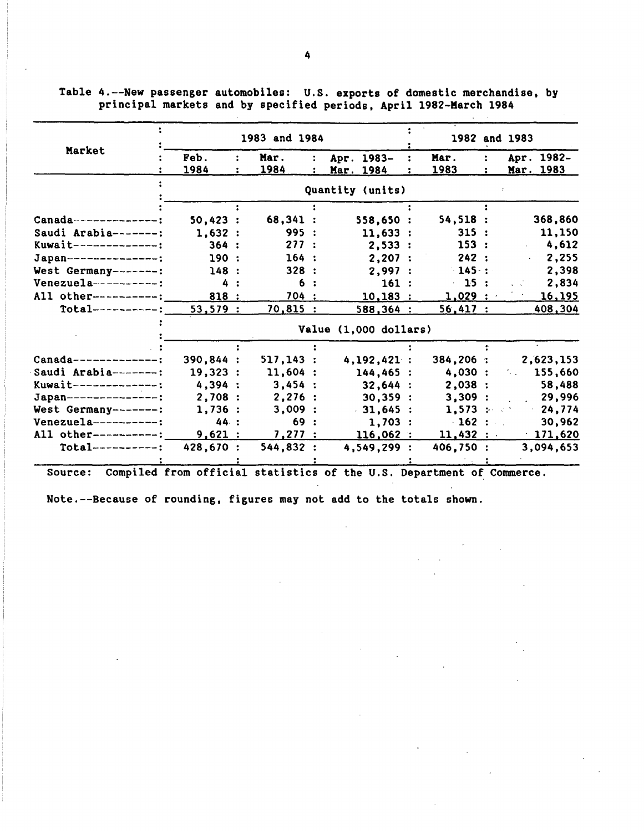Table 4.--New passenger automobiles: U.S. exports of domestic merchandise, by principal markets and by specified periods, April 1982-Karch 1984

|                          |              | 1983 and 1984 |                         |              | 1982 and 1983           |
|--------------------------|--------------|---------------|-------------------------|--------------|-------------------------|
| Market                   | Feb.<br>1984 | Mar.<br>1984  | Apr. 1983-<br>Mar. 1984 | Mar.<br>1983 | Apr. 1982-<br>Mar. 1983 |
|                          |              |               | Quantity (units)        |              |                         |
|                          |              |               |                         |              |                         |
| $Canada---------------:$ | 50,423:      | 68,341:       | 558,650:                | 54,518:      | 368,860                 |
| Saudi Arabia-------:     | 1,632:       | 995 :         | 11,633:                 | 315:         | 11,150                  |
| $Kuwait$ -------------:  | 364 :        | 277:          | 2,533:                  | 153:         | 4,612                   |
| Japan ---------------:   | 190:         | 164:          | 2,207:                  | 242:         | 2,255                   |
| West Germany-------:     | 148:         | 328:          | 2,997:                  | $-145:$      | 2,398                   |
| $Venezuela-----$         | 4 :          | 6:            | 161:                    | $-15$ :      | 2,834                   |
| All other----------:     | 818:         | 704:          | 10, 183:                | $1,029$ :    | 16,195                  |
| $Total-----$             | 53,579:      | 70,815 :      | 588,364 :               | 56,417:      | 408,304                 |
|                          |              |               | Value (1,000 dollars)   |              |                         |
|                          |              |               |                         |              |                         |
| $Canada----------$       | 390,844 :    | 517,143:      | 4,192,421:              | 384,206:     | 2,623,153               |
| Saudi Arabia-------:     | 19,323:      | 11,604:       | 144,465:                | 4,030:       | 155,660<br>A.           |
| $Kuwait$ -------------:  | 4,394:       | 3,454:        | 32,644:                 | 2,038:       | 58,488                  |
| Japan---------------:    | 2,708:       | 2,276:        | 30,359:                 | 3,309:       | 29,996                  |
| West Germany-------:     | 1,736:       | 3,009:        | $-31,645:$              | 1,573        | 24,774                  |
| $Venezuela-----$         | 44:          | 69 :          | 1,703:                  | $-162$ :     | 30,962                  |
| All other----------:     | 9,621:       | 7,277:        | 116,062:                | 11,432:      | 171,620                 |
| $Total-----$             | 428,670 :    | 544,832:      | 4,549,299 :             | 406,750 :    | 3,094,653               |
|                          |              |               |                         |              |                         |

Source: Compiled from official statistics of the U.S. Department of Commerce.

Note.--Because of rounding, figures may not add to the totals shown.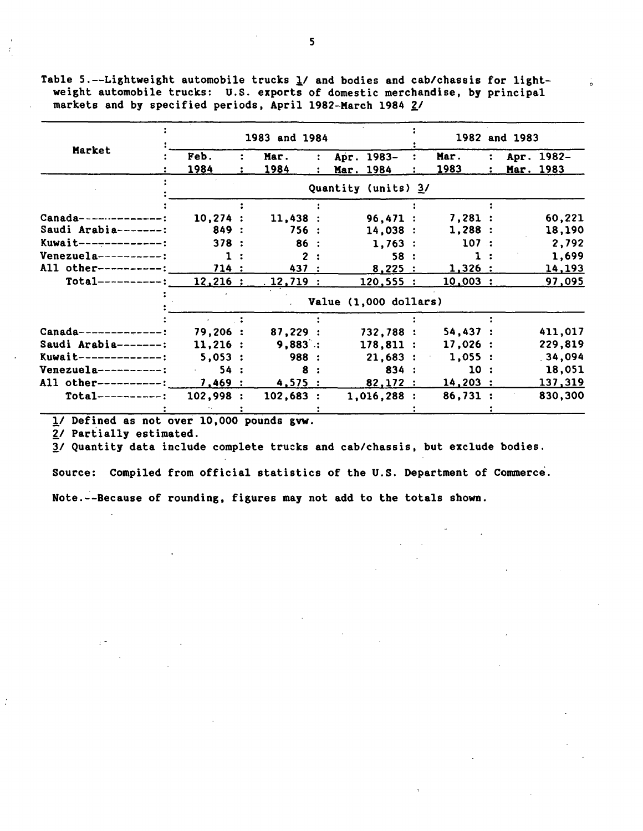|                      |              | 1983 and 1984 |    |                         |              |                | 1982 and 1983 |                         |
|----------------------|--------------|---------------|----|-------------------------|--------------|----------------|---------------|-------------------------|
| Market               | Feb.<br>1984 | Mar.<br>1984  |    | Apr. 1983-<br>Mar. 1984 | Mar.<br>1983 |                |               | Apr. 1982-<br>Mar. 1983 |
|                      |              |               |    | Quantity (units) 3/     |              |                |               |                         |
|                      |              |               |    |                         |              |                |               |                         |
| $Canada-----$        | 10,274:      | 11,438:       |    | 96,471:                 | 7,281:       |                |               | 60,221                  |
| Saudi Arabia-------: | 849 :        | 756 :         |    | 14,038:                 | 1,288:       |                |               | 18,190                  |
| Kuwait-------------: | 378:         | 86 :          |    | 1,763:                  | 107:         |                |               | 2,792                   |
| $Venezuela-----$     | $\mathbf{1}$ | 2             |    | 58:                     |              | $\mathbf{1}$ : |               | 1,699                   |
| All other----------: | 714:         | 437 :         |    | 8,225:                  | 1,326:       |                |               | 14,193                  |
| $Total-----$         | 12,216:      | .12,719:      |    | 120,555:                | $10,003$ :   |                |               | 97,095                  |
|                      |              |               |    | Value (1,000 dollars)   |              |                |               |                         |
|                      |              |               |    |                         |              |                |               |                         |
| $Canada----------$   | 79,206:      | 87,229:       |    | 732,788 :               | 54,437:      |                |               | 411,017                 |
| Saudi Arabia-------: | 11,216:      | $9,883$ :     |    | 178,811:                | 17,026:      |                |               | 229,819                 |
| Kuwait-------------: | 5,053:       | 988 :         |    | 21,683:                 | 1,055:       |                |               | 34,094                  |
| $Venezuela-----$     | 54:          |               | 8: | 834 :                   | 10:          |                |               | 18,051                  |
| All other----------: | 7,469:       | 4,575:        |    | 82,172:                 | 14,203:      |                |               | 137,319                 |
| $Total-----$         | 102,998:     | 102,683:      |    | 1,016,288:              | 86,731:      |                |               | 830,300                 |
|                      |              |               |    |                         |              |                |               |                         |

Table 5.--Lightweight automobile trucks  $\underline{1}$  and bodies and cab/chassis for lightweight automobile trucks: U.S. exports of domestic merchandise, by principal markets and by specified periods, April 1982-Karch 1984 *l/* 

l/ Defined as not over 10,000 pounds gvw.

 $2/$  Partially estimated.

 $\dot{\cdot}$ 

*11* Quantity data include complete trucks and cab/chassis, but exclude bodies.

Source: Compiled from official statistics of the U.S. Department of Commerce.

Note.--Because of rounding, figures may not add to the totals shown.

 $\ddot{\circ}$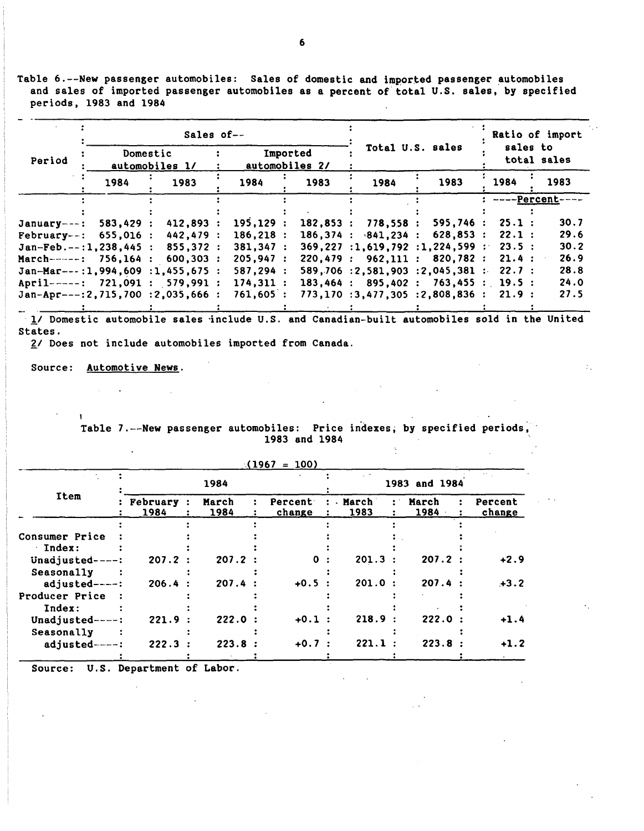Table 6.--New passenger automobiles: Sales of domestic and imported passenger automobiles and sales of imported passenger automobiles as a percent of total U.S. sales, by specified periods, 1983 and 1984

|                             |                            | Sales $of--$                          |  |           |                            |                                        | Ratio of import |          |  |                         |  |      |  |
|-----------------------------|----------------------------|---------------------------------------|--|-----------|----------------------------|----------------------------------------|-----------------|----------|--|-------------------------|--|------|--|
| Period                      | Domestic<br>automobiles 1/ |                                       |  |           | Imported<br>automobiles 2/ | Total U.S. sales                       |                 |          |  | sales to<br>total sales |  |      |  |
|                             | 1984                       | 1983                                  |  | 1984      | 1983                       | 1984                                   |                 | 1983     |  | 1984                    |  | 1983 |  |
|                             |                            |                                       |  |           |                            |                                        |                 |          |  | ----Percent-            |  |      |  |
| $January---:$               | 583,429:                   | 412,893:                              |  | 195, 129: | 182.853:                   | 778,558:                               |                 | 595.746: |  | 25.1:                   |  | 30.7 |  |
| $February--:$               | 655,016:                   | 442.479:                              |  | 186.218:  |                            | 186.374 : 841.234 :                    |                 | 628.853: |  | 22.1:                   |  | 29.6 |  |
| $Jan-Feb. -- : 1,238,445 :$ |                            | 855,372 :                             |  | 381,347:  |                            | $369,227$ :1,619,792 :1,224,599 :      |                 |          |  | 23.5:                   |  | 30.2 |  |
| March------: $756.164:$     |                            | 600,303:                              |  | 205,947:  |                            | 220,479:962,111:820,782:               |                 |          |  | 21.4:                   |  | 26.9 |  |
|                             |                            | $Jan-Mar---:1.994.609:1.455.675:$     |  | 587,294:  |                            | 589,706 :2,581,903 :2,045,381 : 22.7 : |                 |          |  |                         |  | 28.8 |  |
|                             |                            | April-----: 721,091 : 579,991 :       |  | 174.311:  |                            | 183,464: 895,402: 763,455: 19.5:       |                 |          |  |                         |  | 24.0 |  |
|                             |                            | $Jan-Apr---:2,715,700 ::2,035,666 ::$ |  | 761,605:  |                            | 773,170:3,477,305:2,808,836: 21.9:     |                 |          |  |                         |  | 27.5 |  |
|                             |                            |                                       |  |           |                            |                                        |                 |          |  |                         |  |      |  |

1/ Domestic automobile sales include U.S. and Canadian-built automobiles sold in the United States.

£1 Does not include automobiles imported from Canada.

 $\sim 10^{11}$  m  $^{-1}$ 

Source: Automotive News.

and the state of the

 $\mathbf{r}$ 

1

Table 7.--New passenger automobiles: Price indexes, by specified periods, 1983 and 1984  $\Delta$ 

 $\mathbb{R}^2$  .

 $\sim$ 

|                  |                   |               | $(1967 - 100)$    |                                    |                |               |  |                   |  |  |
|------------------|-------------------|---------------|-------------------|------------------------------------|----------------|---------------|--|-------------------|--|--|
|                  |                   | 1984          |                   | $\sigma^2 = \rho$<br>1983 and 1984 |                |               |  |                   |  |  |
| <b>Item</b>      | February:<br>1984 | March<br>1984 | Percent<br>change | March<br>1983                      | $\ddot{\cdot}$ | March<br>1984 |  | Percent<br>change |  |  |
|                  |                   |               |                   |                                    |                |               |  |                   |  |  |
| Consumer Price   |                   |               |                   |                                    |                |               |  |                   |  |  |
| · Index:         |                   |               |                   |                                    |                |               |  |                   |  |  |
| Unadjusted----:  | $207.2$ :         | 207.2:        | $\mathbf{o}$      | 201.3                              |                | 207.2:        |  | $+2.9$            |  |  |
| Seasonally       |                   |               |                   |                                    |                |               |  |                   |  |  |
| adjusted----:    | 206.4:            | 207.4:        | $+0.5$ :          | 201.0                              |                | 207.4:        |  | $+3.2$            |  |  |
| Producer Price   |                   |               |                   |                                    |                |               |  |                   |  |  |
| Index:           |                   |               |                   |                                    |                |               |  |                   |  |  |
| Unadjusted ----: | 221.9:            | 222.0:        | $+0.1$ :          | 218.9                              |                | 222.0         |  | $+1.4$            |  |  |
| Seasonally       |                   |               |                   |                                    |                |               |  |                   |  |  |
| $adjusted----:$  | $222.3$ :         | 223.8:        | $+0.7$ :          | 221.1                              |                | 223.8         |  | $+1.2$            |  |  |
|                  |                   |               |                   |                                    |                |               |  |                   |  |  |

Source: U.S. Department of Labor.

6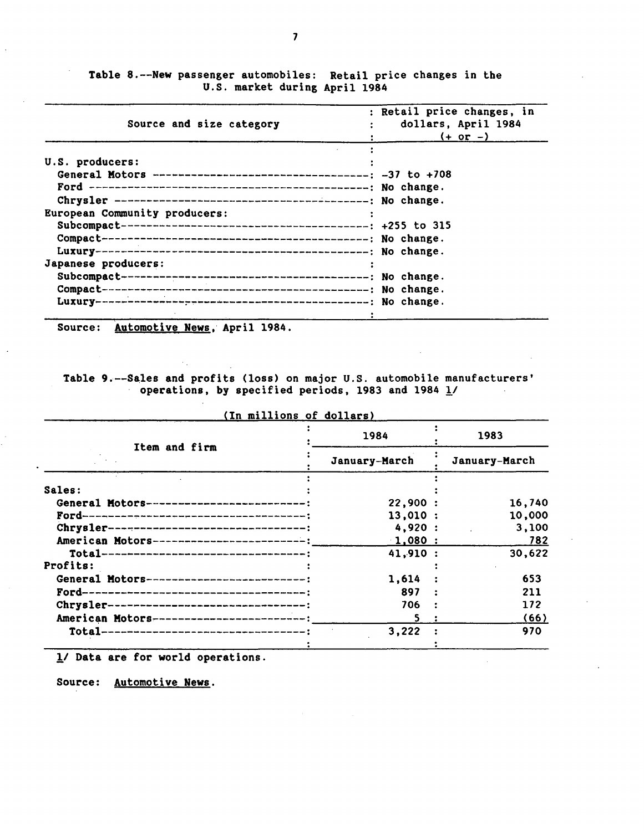| Source and size category                                            | : Retail price changes, in<br>dollars, April 1984<br>$(+ or -)$ |
|---------------------------------------------------------------------|-----------------------------------------------------------------|
|                                                                     |                                                                 |
| U.S. producers:                                                     |                                                                 |
|                                                                     |                                                                 |
|                                                                     |                                                                 |
| Chrysler $--------------------------------------------: No change.$ |                                                                 |
| European Community producers:                                       |                                                                 |
|                                                                     |                                                                 |
|                                                                     |                                                                 |
|                                                                     |                                                                 |
| Japanese producers:                                                 |                                                                 |
|                                                                     |                                                                 |
|                                                                     |                                                                 |
|                                                                     |                                                                 |
|                                                                     |                                                                 |

Table 8.--New passenger automobiles: Retail price changes in the U.S. market during April 1984

Source: Automotive News, April 1984.

Table 9.--Sales and profits (loss) on major U.S. automobile manufacturers' operations, by specified periods, 1983 and 1984  $\underline{1}$ /

| (In millions of dollars)                    |               |               |
|---------------------------------------------|---------------|---------------|
| Item and firm                               | 1984          | 1983          |
|                                             | January-March | January-March |
| Sales:                                      |               |               |
| General Motors----------------------------  | 22,900:       | 16,740        |
|                                             | 13,010:       | 10,000        |
| Chrysler----------------------------------- | 4,920:        | 3,100         |
| American Motors---------------------------- | $-1,080$ :    | 782           |
|                                             | 41.910:       | 30,622        |
| Profits:                                    |               |               |
| General Motors----------------------------  | 1,614         | 653           |
|                                             | 897           | 211           |
| Chrysler----------------------------------  | 706           | 172           |
| American Motors--------------------------   | 5.            | (66)          |
|                                             | 3,222         | 970           |
|                                             |               |               |

1/ Data are for world operations.

Source: Automotive News.